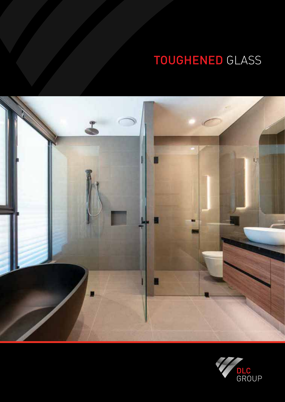## TOUGHENED GLASS